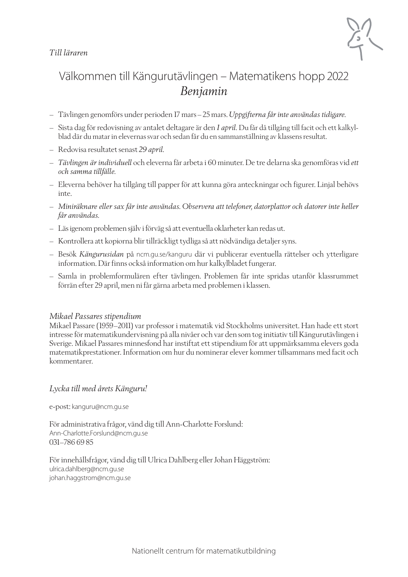#### *Till läraren*



## Välkommen till Kängurutävlingen – Matematikens hopp 2022 *Benjamin*

- Tävlingen genomförs under perioden 17 mars–25 mars. *Uppgifterna får inte användas tidigare*.
- Sista dag för redovisning av antalet deltagare är den *1 april.* Du får då tillgång till facit och ett kalkylblad där du matar in elevernas svar och sedan får du en sammanställning av klassens resultat.
- Redovisa resultatet senast *29 april.*
- *Tävlingen är individuell* och eleverna får arbeta i 60 minuter. De tre delarna ska genomföras vid *ett och samma tillfälle.*
- Eleverna behöver ha tillgång till papper för att kunna göra anteckningar och figurer. Linjal behövs inte.
- *Miniräknare eller sax får inte användas. Observera att telefoner, datorplattor och datorer inte heller får användas.*
- Läs igenom problemen själv i förväg så att eventuella oklarheter kan redas ut.
- Kontrollera att kopiorna blir tillräckligt tydliga så att nödvändiga detaljer syns.
- Besök *Kängurusidan* på ncm.gu.se/kanguru där vi publicerar eventuella rättelser och ytterligare information. Där finns också information om hur kalkylbladet fungerar.
- Samla in problemformulären efter tävlingen. Problemen får inte spridas utanför klassrummet förrän efter 29 april, men ni får gärna arbeta med problemen i klassen.

#### *Mikael Passares stipendium*

Mikael Passare (1959–2011) var professor i matematik vid Stockholms universitet. Han hade ett stort intresse för matematikundervisning på alla nivåer och var den som tog initiativ till Kängurutävlingen i Sverige. Mikael Passares minnesfond har instiftat ett stipendium för att uppmärksamma elevers goda matematikprestationer. Information om hur du nominerar elever kommer tillsammans med facit och kommentarer.

#### *Lycka till med årets Känguru!*

e-post: kanguru@ncm.gu.se

För administrativa frågor, vänd dig till Ann-Charlotte Forslund: Ann-Charlotte.Forslund@ncm.gu.se 031–786 69 85

För innehållsfrågor, vänd dig till Ulrica Dahlberg eller Johan Häggström: ulrica.dahlberg@ncm.gu.se johan.haggstrom@ncm.gu.se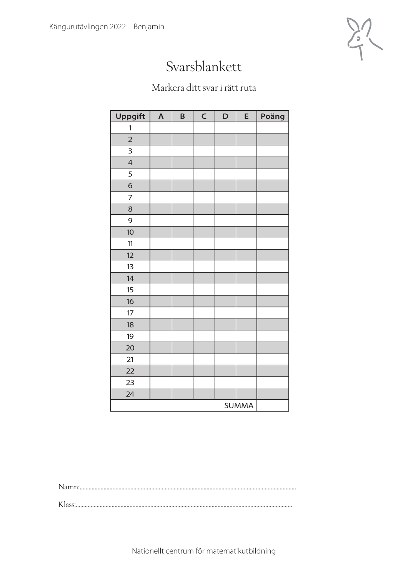

## Svarsblankett

### Markera ditt svar i rätt ruta

| <b>Uppgift</b> | $\overline{\mathsf{A}}$ | B | $\mathsf C$ | D | E | Poäng |
|----------------|-------------------------|---|-------------|---|---|-------|
| 1              |                         |   |             |   |   |       |
| $\overline{2}$ |                         |   |             |   |   |       |
| 3              |                         |   |             |   |   |       |
| $\overline{4}$ |                         |   |             |   |   |       |
| 5              |                         |   |             |   |   |       |
| $\sigma$       |                         |   |             |   |   |       |
| $\overline{7}$ |                         |   |             |   |   |       |
| 8              |                         |   |             |   |   |       |
| 9              |                         |   |             |   |   |       |
| 10             |                         |   |             |   |   |       |
| 11             |                         |   |             |   |   |       |
| 12             |                         |   |             |   |   |       |
| 13             |                         |   |             |   |   |       |
| 14             |                         |   |             |   |   |       |
| 15             |                         |   |             |   |   |       |
| 16             |                         |   |             |   |   |       |
| 17             |                         |   |             |   |   |       |
| 18             |                         |   |             |   |   |       |
| 19             |                         |   |             |   |   |       |
| 20             |                         |   |             |   |   |       |
| 21             |                         |   |             |   |   |       |
| 22             |                         |   |             |   |   |       |
| 23             |                         |   |             |   |   |       |
| 24             |                         |   |             |   |   |       |
| <b>SUMMA</b>   |                         |   |             |   |   |       |

Namn:.................................................................................................................................................

Klass:.................................................................................................................................................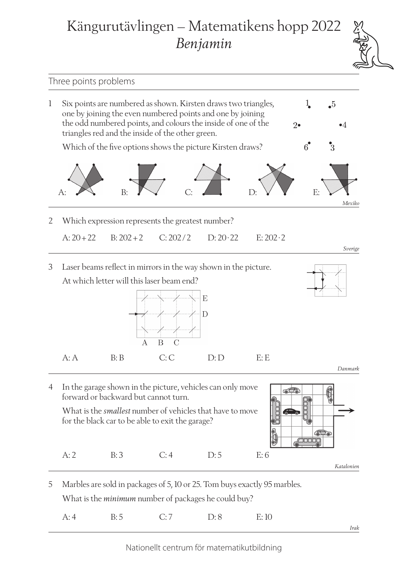# Kängurutävlingen – Matematikens hopp 2022 *Benjamin*



*Irak*

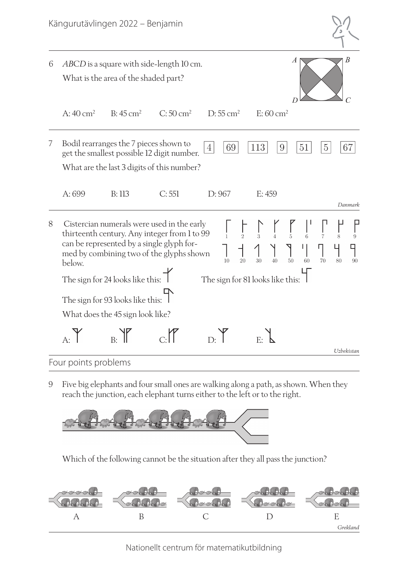|   |                                                                        | Kängurutävlingen 2022 – Benjamin                                                                                                                                                    |                     |                        |                     |                                                                        |                      |
|---|------------------------------------------------------------------------|-------------------------------------------------------------------------------------------------------------------------------------------------------------------------------------|---------------------|------------------------|---------------------|------------------------------------------------------------------------|----------------------|
| 6 |                                                                        | ABCD is a square with side-length 10 cm.<br>What is the area of the shaded part?                                                                                                    |                     |                        |                     | $\boldsymbol{A}$<br>$\overline{D}$                                     | B                    |
|   | A: $40 \text{ cm}^2$                                                   | $B:45 \text{ cm}^2$                                                                                                                                                                 | $C:50 \text{ cm}^2$ | $D:55$ cm <sup>2</sup> | $E:60 \text{ cm}^2$ |                                                                        |                      |
| 7 |                                                                        | Bodil rearranges the 7 pieces shown to<br>get the smallest possible 12 digit number.<br>What are the last 3 digits of this number?                                                  |                     | 69<br>4                | 113<br>9            | 51                                                                     | 67<br>$\overline{5}$ |
|   | A: 699                                                                 | B: 113                                                                                                                                                                              | C:551               | D: 967                 | E: 459              |                                                                        | Danmark              |
| 8 | below.                                                                 | Cistercian numerals were used in the early<br>thirteenth century. Any integer from 1 to 99<br>can be represented by a single glyph for-<br>med by combining two of the glyphs shown |                     | 10<br>20               | 30<br>40            | $\begin{matrix} \frac{1}{6} \end{matrix}$<br>$\frac{1}{5}$<br>50<br>60 | 9<br>70<br>80<br>90  |
|   | The sign for 24 looks like this: T<br>The sign for 81 looks like this: |                                                                                                                                                                                     |                     |                        |                     |                                                                        |                      |
|   |                                                                        | The sign for 93 looks like this:                                                                                                                                                    |                     |                        |                     |                                                                        |                      |
|   | What does the 45 sign look like?                                       |                                                                                                                                                                                     |                     |                        |                     |                                                                        |                      |
|   |                                                                        | B:                                                                                                                                                                                  |                     |                        |                     |                                                                        |                      |
|   |                                                                        |                                                                                                                                                                                     |                     |                        |                     |                                                                        | Uzbekistan           |
|   | Four points problems                                                   |                                                                                                                                                                                     |                     |                        |                     |                                                                        |                      |

9 Five big elephants and four small ones are walking along a path, as shown. When they reach the junction, each elephant turns either to the left or to the right.



Which of the following cannot be the situation after they all pass the junction?

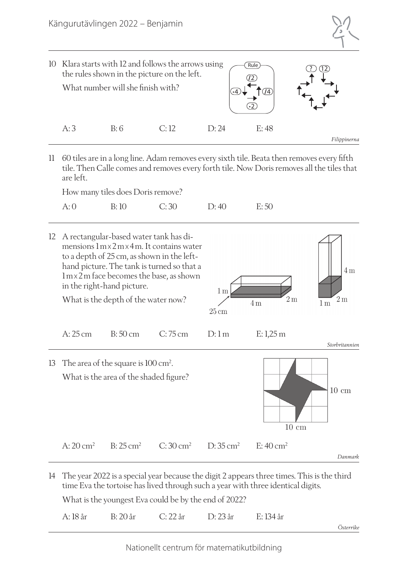

11 60 tiles are in a long line. Adam removes every sixth tile. Beata then removes every fifth tile. Then Calle comes and removes every forth tile. Now Doris removes all the tiles that are left.

How many tiles does Doris remove?

| B:10<br>C:30<br>A:0<br>D:40 | E:50 |
|-----------------------------|------|
|-----------------------------|------|

- 12 A rectangular-based water tank has dimensions 1mx2mx 4m. It contains water to a depth of 25 cm, as shown in the lefthand picture. The tank is turned so that a  $4m$ 1mx2m face becomes the base, as shown in the right-hand picture.  $1<sub>m</sub>$  $2<sub>m</sub>$  $2m$ What is the depth of the water now?  $4m$  $1<sub>m</sub>$  $25 \text{ cm}$ A: 25 cm B: 50 cm C: 75 cm D: 1 m E: 1,25 m *Storbritannien* 13 The area of the square is 100 cm<sup>2</sup>. What is the area of the shaded figure?  $10 \text{ cm}$  $\overline{10 \text{ cm}}$ A:  $20 \text{ cm}^2$  B:  $25 \text{ cm}^2$  C:  $30 \text{ cm}^2$  D:  $35 \text{ cm}^2$  E:  $40 \text{ cm}^2$ *Danmark*
- 14 The year 2022 is a special year because the digit 2 appears three times. This is the third time Eva the tortoise has lived through such a year with three identical digits.

What is the youngest Eva could be by the end of 2022?

|  | A: 18 år B: 20 år C: 22 år D: 23 år E: 134 år |           |
|--|-----------------------------------------------|-----------|
|  |                                               | Österrike |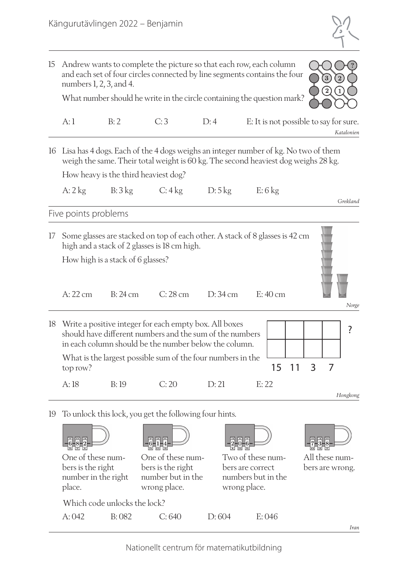

| 15                                                                                                                                                                                | Andrew wants to complete the picture so that each row, each column<br>and each set of four circles connected by line segments contains the four<br>$\mathbf{3}$<br>$\left( 2\right)$<br>$\left(1\right)$ |                              |                                                                                                                                                                          |                   |                                                                             |                                                      |
|-----------------------------------------------------------------------------------------------------------------------------------------------------------------------------------|----------------------------------------------------------------------------------------------------------------------------------------------------------------------------------------------------------|------------------------------|--------------------------------------------------------------------------------------------------------------------------------------------------------------------------|-------------------|-----------------------------------------------------------------------------|------------------------------------------------------|
| What number should he write in the circle containing the question mark?                                                                                                           |                                                                                                                                                                                                          |                              |                                                                                                                                                                          |                   |                                                                             |                                                      |
|                                                                                                                                                                                   | A:1                                                                                                                                                                                                      | B:2                          | C:3                                                                                                                                                                      | D:4               |                                                                             | E: It is not possible to say for sure.<br>Katalonien |
| 16                                                                                                                                                                                |                                                                                                                                                                                                          |                              | Lisa has 4 dogs. Each of the 4 dogs weighs an integer number of kg. No two of them<br>weigh the same. Their total weight is 60 kg. The second heaviest dog weighs 28 kg. |                   |                                                                             |                                                      |
|                                                                                                                                                                                   |                                                                                                                                                                                                          |                              | How heavy is the third heaviest dog?                                                                                                                                     |                   |                                                                             |                                                      |
|                                                                                                                                                                                   | $A:2$ kg                                                                                                                                                                                                 | B:3kg                        | C: 4kg                                                                                                                                                                   | D:5kg             | $E: 6$ kg                                                                   | Grekland                                             |
|                                                                                                                                                                                   | Five points problems                                                                                                                                                                                     |                              |                                                                                                                                                                          |                   |                                                                             |                                                      |
| Some glasses are stacked on top of each other. A stack of 8 glasses is 42 cm<br>17<br>high and a stack of 2 glasses is 18 cm high.<br>How high is a stack of 6 glasses?           |                                                                                                                                                                                                          |                              |                                                                                                                                                                          |                   |                                                                             |                                                      |
|                                                                                                                                                                                   | $A:22$ cm                                                                                                                                                                                                | B:24cm                       | $C:28$ cm                                                                                                                                                                | $D:34 \text{ cm}$ | E:40cm                                                                      | Norge                                                |
| Write a positive integer for each empty box. All boxes<br>18<br>should have different numbers and the sum of the numbers<br>in each column should be the number below the column. |                                                                                                                                                                                                          |                              |                                                                                                                                                                          |                   |                                                                             | ?                                                    |
|                                                                                                                                                                                   | top row?                                                                                                                                                                                                 |                              | What is the largest possible sum of the four numbers in the                                                                                                              |                   | 15                                                                          | 7<br>11<br>3                                         |
|                                                                                                                                                                                   | A: 18                                                                                                                                                                                                    | B:19                         | C:20                                                                                                                                                                     | D:21              | E: 22                                                                       | Hongkong                                             |
| 19                                                                                                                                                                                |                                                                                                                                                                                                          |                              | To unlock this lock, you get the following four hints.                                                                                                                   |                   |                                                                             |                                                      |
|                                                                                                                                                                                   |                                                                                                                                                                                                          |                              |                                                                                                                                                                          |                   |                                                                             |                                                      |
|                                                                                                                                                                                   | One of these num-<br>bers is the right<br>number in the right<br>place.                                                                                                                                  |                              | One of these num-<br>bers is the right<br>number but in the<br>wrong place.                                                                                              |                   | Two of these num-<br>bers are correct<br>numbers but in the<br>wrong place. | All these num-<br>bers are wrong.                    |
|                                                                                                                                                                                   |                                                                                                                                                                                                          | Which code unlocks the lock? |                                                                                                                                                                          |                   |                                                                             |                                                      |
|                                                                                                                                                                                   | A:042                                                                                                                                                                                                    | B:082                        | C:640                                                                                                                                                                    | D:604             | E:046                                                                       |                                                      |
|                                                                                                                                                                                   |                                                                                                                                                                                                          |                              |                                                                                                                                                                          |                   |                                                                             | <i>Iran</i>                                          |